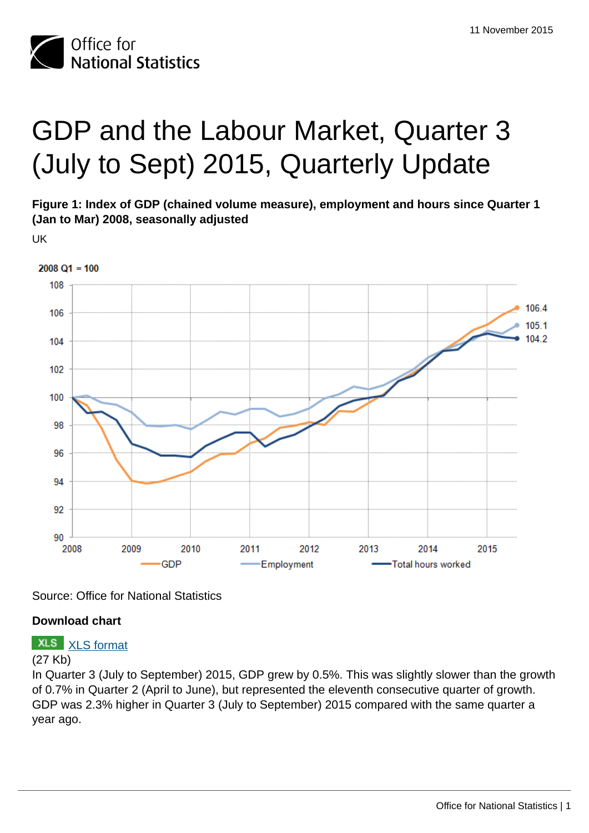

# GDP and the Labour Market, Quarter 3 (July to Sept) 2015, Quarterly Update

**Figure 1: Index of GDP (chained volume measure), employment and hours since Quarter 1 (Jan to Mar) 2008, seasonally adjusted**

UK



Source: Office for National Statistics

### **Download chart**

## **XLS** [XLS format](http://www.ons.gov.uk:80/ons/rel/elmr/gdp-and-the-labour-market/q3-2015--quarterly-update/chd-figure-1.xls)

#### (27 Kb)

In Quarter 3 (July to September) 2015, GDP grew by 0.5%. This was slightly slower than the growth of 0.7% in Quarter 2 (April to June), but represented the eleventh consecutive quarter of growth. GDP was 2.3% higher in Quarter 3 (July to September) 2015 compared with the same quarter a year ago.